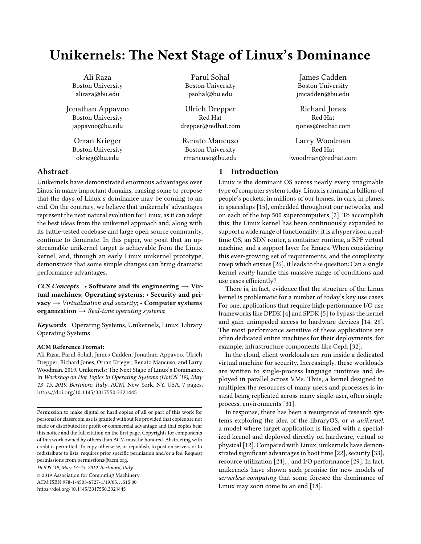# Unikernels: The Next Stage of Linux's Dominance

Ali Raza Boston University aliraza@bu.edu

Jonathan Appavoo Boston University jappavoo@bu.edu

> Orran Krieger Boston University okrieg@bu.edu

## Parul Sohal Boston University psohal@bu.edu

Ulrich Drepper Red Hat drepper@redhat.com

Renato Mancuso Boston University rmancuso@bu.edu

James Cadden Boston University jmcadden@bu.edu

Richard Jones Red Hat rjones@redhat.com

Larry Woodman Red Hat lwoodman@redhat.com

# 1 Introduction

Linux is the dominant OS across nearly every imaginable type of computer system today. Linux is running in billions of people's pockets, in millions of our homes, in cars, in planes, in spaceships [\[15\]](#page-5-0), embedded throughout our networks, and on each of the top 500 supercomputers [\[2\]](#page-5-1). To accomplish this, the Linux kernel has been continuously expanded to support a wide range of functionality; it is a hypervisor, a realtime OS, an SDN router, a container runtime, a BPF virtual machine, and a support layer for Emacs. When considering this ever-growing set of requirements, and the complexity creep which ensues [\[26\]](#page-5-2), it leads to the question: Can a single kernel really handle this massive range of conditions and use cases efficiently?

There is, in fact, evidence that the structure of the Linux kernel is problematic for a number of today's key use cases. For one, applications that require high-performance I/O use frameworks like DPDK [\[4\]](#page-5-3) and SPDK [\[5\]](#page-5-4) to bypass the kernel and gain unimpeded access to hardware devices [\[14,](#page-5-5) [28\]](#page-5-6). The most performance sensitive of these applications are often dedicated entire machines for their deployments, for example, infrastructure components like Ceph [\[32\]](#page-5-7).

In the cloud, client workloads are run inside a dedicated virtual machine for security. Increasingly, these workloads are written to single-process language runtimes and deployed in parallel across VMs. Thus, a kernel designed to multiplex the resources of many users and processes is instead being replicated across many single-user, often singleprocess, environments [\[31\]](#page-5-8).

In response, there has been a resurgence of research systems exploring the idea of the libraryOS, or a unikernel, a model where target application is linked with a specialized kernel and deployed directly on hardware, virtual or physical [\[12\]](#page-5-9). Compared with Linux, unikernels have demonstrated significant advantages in boot time [\[22\]](#page-5-10), security [\[33\]](#page-6-1), resource utilization [\[24\]](#page-5-11), , and I/O performance [\[29\]](#page-5-12). In fact, unikernels have shown such promise for new models of serverless computing that some foresee the dominance of Linux may soon come to an end [\[18\]](#page-5-13).

## Abstract

Unikernels have demonstrated enormous advantages over Linux in many important domains, causing some to propose that the days of Linux's dominance may be coming to an end. On the contrary, we believe that unikernels' advantages represent the next natural evolution for Linux, as it can adopt the best ideas from the unikernel approach and, along with its battle-tested codebase and large open source community, continue to dominate. In this paper, we posit that an upstreamable unikernel target is achievable from the Linux kernel, and, through an early Linux unikernel prototype, demonstrate that some simple changes can bring dramatic performance advantages.

CCS Concepts • Software and its engineering  $\rightarrow$  Virtual machines; Operating systems; • Security and privacy  $\rightarrow$  Virtualization and security; • Computer systems organization  $\rightarrow$  Real-time operating systems;

Keywords Operating Systems, Unikernels, Linux, Library Operating Systems

#### ACM Reference Format:

Ali Raza, Parul Sohal, James Cadden, Jonathan Appavoo, Ulrich Drepper, Richard Jones, Orran Krieger, Renato Mancuso, and Larry Woodman. 2019. Unikernels: The Next Stage of Linux's Dominance. In Workshop on Hot Topics in Operating Systems (HotOS '19), May 13–15, 2019, Bertinoro, Italy. ACM, New York, NY, USA, [7](#page-6-0) pages. <https://doi.org/10.1145/3317550.3321445>

HotOS '19, May 13–15, 2019, Bertinoro, Italy

© 2019 Association for Computing Machinery.

ACM ISBN 978-1-4503-6727-1/19/05. . . \$15.00 <https://doi.org/10.1145/3317550.3321445>

Permission to make digital or hard copies of all or part of this work for personal or classroom use is granted without fee provided that copies are not made or distributed for profit or commercial advantage and that copies bear this notice and the full citation on the first page. Copyrights for components of this work owned by others than ACM must be honored. Abstracting with credit is permitted. To copy otherwise, or republish, to post on servers or to redistribute to lists, requires prior specific permission and/or a fee. Request permissions from permissions@acm.org.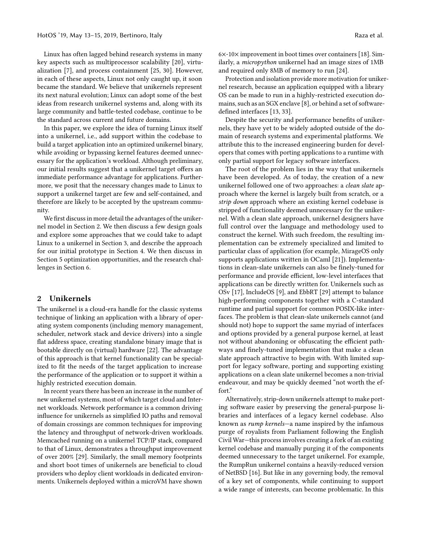Linux has often lagged behind research systems in many key aspects such as multiprocessor scalability [\[20\]](#page-5-14), virtualization [\[7\]](#page-5-15), and process containment [\[25,](#page-5-16) [30\]](#page-5-17). However, in each of these aspects, Linux not only caught up, it soon became the standard. We believe that unikernels represent its next natural evolution; Linux can adopt some of the best ideas from research unikernel systems and, along with its large community and battle-tested codebase, continue to be the standard across current and future domains.

In this paper, we explore the idea of turning Linux itself into a unikernel, i.e., add support within the codebase to build a target application into an optimized unikernel binary, while avoiding or bypassing kernel features deemed unnecessary for the application's workload. Although preliminary, our initial results suggest that a unikernel target offers an immediate performance advantage for applications. Furthermore, we posit that the necessary changes made to Linux to support a unikernel target are few and self-contained, and therefore are likely to be accepted by the upstream community.

We first discuss in more detail the advantages of the unikernel model in Section [2.](#page-1-0) We then discuss a few design goals and explore some approaches that we could take to adapt Linux to a unikernel in Section [3,](#page-2-0) and describe the approach for our initial prototype in Section [4.](#page-2-1) We then discuss in Section [5](#page-4-0) optimization opportunities, and the research challenges in Section [6.](#page-4-1)

## <span id="page-1-0"></span>2 Unikernels

The unikernel is a cloud-era handle for the classic systems technique of linking an application with a library of operating system components (including memory management, scheduler, network stack and device drivers) into a single flat address space, creating standalone binary image that is bootable directly on (virtual) hardware [\[22\]](#page-5-10). The advantage of this approach is that kernel functionality can be specialized to fit the needs of the target application to increase the performance of the application or to support it within a highly restricted execution domain.

In recent years there has been an increase in the number of new unikernel systems, most of which target cloud and Internet workloads. Network performance is a common driving influence for unikernels as simplified IO paths and removal of domain crossings are common techniques for improving the latency and throughput of network-driven workloads. Memcached running on a unikernel TCP/IP stack, compared to that of Linux, demonstrates a throughput improvement of over 200% [\[29\]](#page-5-12). Similarly, the small memory footprints and short boot times of unikernels are beneficial to cloud providers who deploy client workloads in dedicated environments. Unikernels deployed within a microVM have shown

6×-10× improvement in boot times over containers [\[18\]](#page-5-13). Similarly, a micropython unikernel had an image sizes of 1MB and required only 8MB of memory to run [\[24\]](#page-5-11).

Protection and isolation provide more motivation for unikernel research, because an application equipped with a library OS can be made to run in a highly-restricted execution domains, such as an SGX enclave [\[8\]](#page-5-18), or behind a set of softwaredefined interfaces [\[13,](#page-5-19) [33\]](#page-6-1).

Despite the security and performance benefits of unikernels, they have yet to be widely adopted outside of the domain of research systems and experimental platforms. We attribute this to the increased engineering burden for developers that comes with porting applications to a runtime with only partial support for legacy software interfaces.

The root of the problem lies in the way that unikernels have been developed. As of today, the creation of a new unikernel followed one of two approaches: a clean slate approach where the kernel is largely built from scratch, or a strip down approach where an existing kernel codebase is stripped of functionality deemed unnecessary for the unikernel. With a clean slate approach, unikernel designers have full control over the language and methodology used to construct the kernel. With such freedom, the resulting implementation can be extremely specialized and limited to particular class of application (for example, MirageOS only supports applications written in OCaml [\[21\]](#page-5-20)). Implementations in clean-slate unikernels can also be finely-tuned for performance and provide efficient, low-level interfaces that applications can be directly written for. Unikernels such as OSv [\[17\]](#page-5-21), IncludeOS [\[9\]](#page-5-22), and EbbRT [\[29\]](#page-5-12) attempt to balance high-performing components together with a C-standard runtime and partial support for common POSIX-like interfaces. The problem is that clean-slate unikernels cannot (and should not) hope to support the same myriad of interfaces and options provided by a general purpose kernel, at least not without abandoning or obfuscating the efficient pathways and finely-tuned implementation that make a clean slate approach attractive to begin with. With limited support for legacy software, porting and supporting existing applications on a clean slate unikernel becomes a non-trivial endeavour, and may be quickly deemed "not worth the effort."

Alternatively, strip-down unikernels attempt to make porting software easier by preserving the general-purpose libraries and interfaces of a legacy kernel codebase. Also known as rump kernels—a name inspired by the infamous purge of royalists from Parliament following the English Civil War—this process involves creating a fork of an existing kernel codebase and manually purging it of the components deemed unnecessary to the target unikernel. For example, the RumpRun unikernel contains a heavily-reduced version of NetBSD [\[16\]](#page-5-23). But like in any governing body, the removal of a key set of components, while continuing to support a wide range of interests, can become problematic. In this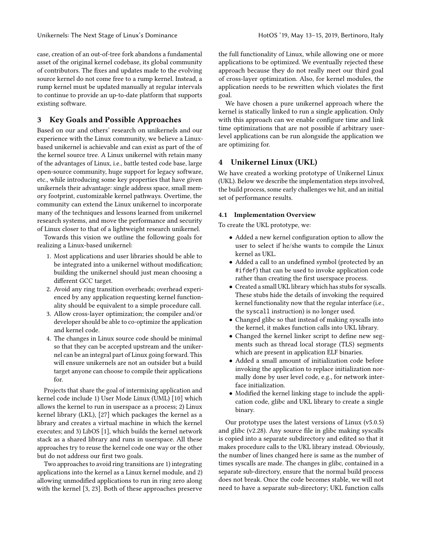case, creation of an out-of-tree fork abandons a fundamental asset of the original kernel codebase, its global community of contributors. The fixes and updates made to the evolving source kernel do not come free to a rump kernel. Instead, a rump kernel must be updated manually at regular intervals to continue to provide an up-to-date platform that supports existing software.

## <span id="page-2-0"></span>3 Key Goals and Possible Approaches

Based on our and others' research on unikernels and our experience with the Linux community, we believe a Linuxbased unikernel is achievable and can exist as part of the of the kernel source tree. A Linux unikernel with retain many of the advantages of Linux, i.e., battle tested code base, large open-source community, huge support for legacy software, etc., while introducing some key properties that have given unikernels their advantage: single address space, small memory footprint, customizable kernel pathways. Overtime, the community can extend the Linux unikernel to incorporate many of the techniques and lessons learned from unikernel research systems, and move the performance and security of Linux closer to that of a lightweight research unikernel.

Towards this vision we outline the following goals for realizing a Linux-based unikernel:

- 1. Most applications and user libraries should be able to be integrated into a unikernel without modification; building the unikernel should just mean choosing a different GCC target.
- 2. Avoid any ring transition overheads; overhead experienced by any application requesting kernel functionality should be equivalent to a simple procedure call.
- 3. Allow cross-layer optimization; the compiler and/or developer should be able to co-optimize the application and kernel code.
- 4. The changes in Linux source code should be minimal so that they can be accepted upstream and the unikernel can be an integral part of Linux going forward. This will ensure unikernels are not an outsider but a build target anyone can choose to compile their applications for.

Projects that share the goal of intermixing application and kernel code include 1) User Mode Linux (UML) [\[10\]](#page-5-24) which allows the kernel to run in userspace as a process; 2) Linux kernel library (LKL), [\[27\]](#page-5-25) which packages the kernel as a library and creates a virtual machine in which the kernel executes; and 3) LibOS [\[1\]](#page-5-26), which builds the kernel network stack as a shared library and runs in userspace. All these approaches try to reuse the kernel code one way or the other but do not address our first two goals.

Two approaches to avoid ring transitions are 1) integrating applications into the kernel as a Linux kernel module, and 2) allowing unmodified applications to run in ring zero along with the kernel [\[3,](#page-5-27) [23\]](#page-5-28). Both of these approaches preserve

the full functionality of Linux, while allowing one or more applications to be optimized. We eventually rejected these approach because they do not really meet our third goal of cross-layer optimization. Also, for kernel modules, the application needs to be rewritten which violates the first goal.

We have chosen a pure unikernel approach where the kernel is statically linked to run a single application. Only with this approach can we enable configure time and link time optimizations that are not possible if arbitrary userlevel applications can be run alongside the application we are optimizing for.

## <span id="page-2-1"></span>4 Unikernel Linux (UKL)

We have created a working prototype of Unikernel Linux (UKL). Below we describe the implementation steps involved, the build process, some early challenges we hit, and an initial set of performance results.

### 4.1 Implementation Overview

To create the UKL prototype, we:

- Added a new kernel configuration option to allow the user to select if he/she wants to compile the Linux kernel as UKL.
- Added a call to an undefined symbol (protected by an #ifdef) that can be used to invoke application code rather than creating the first userspace process.
- Created a small UKL library which has stubs for syscalls. These stubs hide the details of invoking the required kernel functionality now that the regular interface (i.e., the syscall instruction) is no longer used.
- Changed glibc so that instead of making syscalls into the kernel, it makes function calls into UKL library.
- Changed the kernel linker script to define new segments such as thread local storage (TLS) segments which are present in application ELF binaries.
- Added a small amount of initialization code before invoking the application to replace initialization normally done by user level code, e.g., for network interface initialization.
- Modified the kernel linking stage to include the application code, glibc and UKL library to create a single binary.

Our prototype uses the latest versions of Linux (v5.0.5) and glibc (v2.28). Any source file in glibc making syscalls is copied into a separate subdirectory and edited so that it makes procedure calls to the UKL library instead. Obviously, the number of lines changed here is same as the number of times syscalls are made. The changes in glibc, contained in a separate sub-directory, ensure that the normal build process does not break. Once the code becomes stable, we will not need to have a separate sub-directory; UKL function calls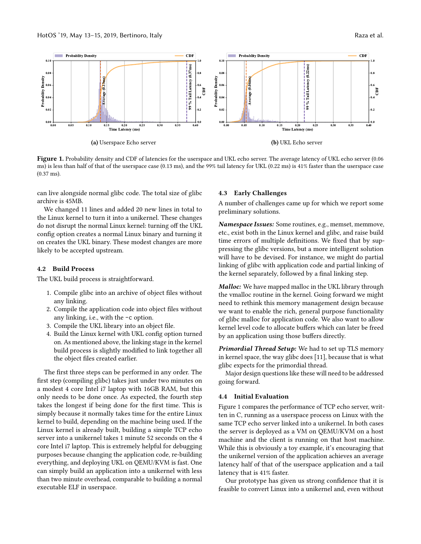<span id="page-3-0"></span>

Figure 1. Probability density and CDF of latencies for the userspace and UKL echo server. The average latency of UKL echo server (0.06 ms) is less than half of that of the userspace case (0.13 ms), and the 99% tail latency for UKL (0.22 ms) is 41% faster than the userspace case (0.37 ms).

can live alongside normal glibc code. The total size of glibc archive is 45MB.

We changed 11 lines and added 20 new lines in total to the Linux kernel to turn it into a unikernel. These changes do not disrupt the normal Linux kernel: turning off the UKL config option creates a normal Linux binary and turning it on creates the UKL binary. These modest changes are more likely to be accepted upstream.

## 4.2 Build Process

The UKL build process is straightforward.

- 1. Compile glibc into an archive of object files without any linking.
- 2. Compile the application code into object files without any linking, i.e., with the -c option.
- 3. Compile the UKL library into an object file.
- 4. Build the Linux kernel with UKL config option turned on. As mentioned above, the linking stage in the kernel build process is slightly modified to link together all the object files created earlier.

The first three steps can be performed in any order. The first step (compiling glibc) takes just under two minutes on a modest 4 core Intel i7 laptop with 16GB RAM, but this only needs to be done once. As expected, the fourth step takes the longest if being done for the first time. This is simply because it normally takes time for the entire Linux kernel to build, depending on the machine being used. If the Linux kernel is already built, building a simple TCP echo server into a unikernel takes 1 minute 52 seconds on the 4 core Intel i7 laptop. This is extremely helpful for debugging purposes because changing the application code, re-building everything, and deploying UKL on QEMU/KVM is fast. One can simply build an application into a unikernel with less than two minute overhead, comparable to building a normal executable ELF in userspace.

#### 4.3 Early Challenges

A number of challenges came up for which we report some preliminary solutions.

Namespace Issues: Some routines, e.g., memset, memmove, etc., exist both in the Linux kernel and glibc, and raise build time errors of multiple definitions. We fixed that by suppressing the glibc versions, but a more intelligent solution will have to be devised. For instance, we might do partial linking of glibc with application code and partial linking of the kernel separately, followed by a final linking step.

Malloc: We have mapped malloc in the UKL library through the vmalloc routine in the kernel. Going forward we might need to rethink this memory management design because we want to enable the rich, general purpose functionality of glibc malloc for application code. We also want to allow kernel level code to allocate buffers which can later be freed by an application using those buffers directly.

Primordial Thread Setup: We had to set up TLS memory in kernel space, the way glibc does [\[11\]](#page-5-29), because that is what glibc expects for the primordial thread.

Major design questions like these will need to be addressed going forward.

#### 4.4 Initial Evaluation

Figure [1](#page-3-0) compares the performance of TCP echo server, written in C, running as a userspace process on Linux with the same TCP echo server linked into a unikernel. In both cases the server is deployed as a VM on QEMU/KVM on a host machine and the client is running on that host machine. While this is obviously a toy example, it's encouraging that the unikernel version of the application achieves an average latency half of that of the userspace application and a tail latency that is 41% faster.

Our prototype has given us strong confidence that it is feasible to convert Linux into a unikernel and, even without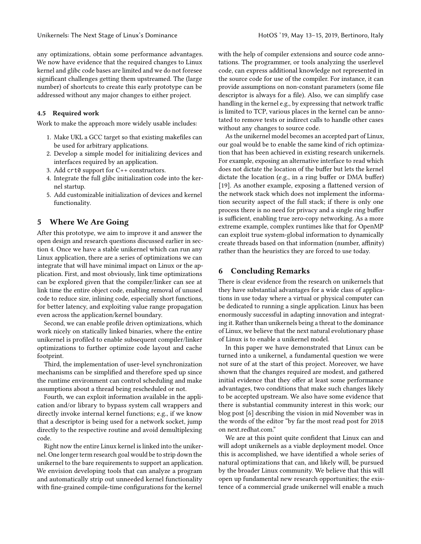any optimizations, obtain some performance advantages. We now have evidence that the required changes to Linux kernel and glibc code bases are limited and we do not foresee significant challenges getting them upstreamed. The (large number) of shortcuts to create this early prototype can be addressed without any major changes to either project.

## 4.5 Required work

Work to make the approach more widely usable includes:

- 1. Make UKL a GCC target so that existing makefiles can be used for arbitrary applications.
- 2. Develop a simple model for initializing devices and interfaces required by an application.
- 3. Add crt0 support for C++ constructors.
- 4. Integrate the full glibc initialization code into the kernel startup.
- 5. Add customizable initialization of devices and kernel functionality.

## <span id="page-4-0"></span>5 Where We Are Going

After this prototype, we aim to improve it and answer the open design and research questions discussed earlier in section [4.](#page-2-1) Once we have a stable unikernel which can run any Linux application, there are a series of optimizations we can integrate that will have minimal impact on Linux or the application. First, and most obviously, link time optimizations can be explored given that the compiler/linker can see at link time the entire object code, enabling removal of unused code to reduce size, inlining code, especially short functions, for better latency, and exploiting value range propagation even across the application/kernel boundary.

Second, we can enable profile driven optimizations, which work nicely on statically linked binaries, where the entire unikernel is profiled to enable subsequent compiler/linker optimizations to further optimize code layout and cache footprint.

Third, the implementation of user-level synchronization mechanisms can be simplified and therefore sped up since the runtime environment can control scheduling and make assumptions about a thread being rescheduled or not.

Fourth, we can exploit information available in the application and/or library to bypass system call wrappers and directly invoke internal kernel functions; e.g., if we know that a descriptor is being used for a network socket, jump directly to the respective routine and avoid demultiplexing code.

Right now the entire Linux kernel is linked into the unikernel. One longer term research goal would be to strip down the unikernel to the bare requirements to support an application. We envision developing tools that can analyze a program and automatically strip out unneeded kernel functionality with fine-grained compile-time configurations for the kernel

with the help of compiler extensions and source code annotations. The programmer, or tools analyzing the userlevel code, can express additional knowledge not represented in the source code for use of the compiler. For instance, it can provide assumptions on non-constant parameters (some file descriptor is always for a file). Also, we can simplify case handling in the kernel e.g., by expressing that network traffic is limited to TCP, various places in the kernel can be annotated to remove tests or indirect calls to handle other cases without any changes to source code.

As the unikernel model becomes an accepted part of Linux, our goal would be to enable the same kind of rich optimization that has been achieved in existing research unikernels. For example, exposing an alternative interface to read which does not dictate the location of the buffer but lets the kernel dictate the location (e.g., in a ring buffer or DMA buffer) [\[19\]](#page-5-30). As another example, exposing a flattened version of the network stack which does not implement the information security aspect of the full stack; if there is only one process there is no need for privacy and a single ring buffer is sufficient, enabling true zero-copy networking. As a more extreme example, complex runtimes like that for OpenMP can exploit true system-global information to dynamically create threads based on that information (number, affinity) rather than the heuristics they are forced to use today.

## <span id="page-4-1"></span>6 Concluding Remarks

There is clear evidence from the research on unikernels that they have substantial advantages for a wide class of applications in use today where a virtual or physical computer can be dedicated to running a single application. Linux has been enormously successful in adapting innovation and integrating it. Rather than unikernels being a threat to the dominance of Linux, we believe that the next natural evolutionary phase of Linux is to enable a unikernel model.

In this paper we have demonstrated that Linux can be turned into a unikernel, a fundamental question we were not sure of at the start of this project. Moreover, we have shown that the changes required are modest, and gathered initial evidence that they offer at least some performance advantages, two conditions that make such changes likely to be accepted upstream. We also have some evidence that there is substantial community interest in this work; our blog post [\[6\]](#page-5-31) describing the vision in mid November was in the words of the editor "by far the most read post for 2018 on next.redhat.com."

We are at this point quite confident that Linux can and will adopt unikernels as a viable deployment model. Once this is accomplished, we have identified a whole series of natural optimizations that can, and likely will, be pursued by the broader Linux community. We believe that this will open up fundamental new research opportunities; the existence of a commercial grade unikernel will enable a much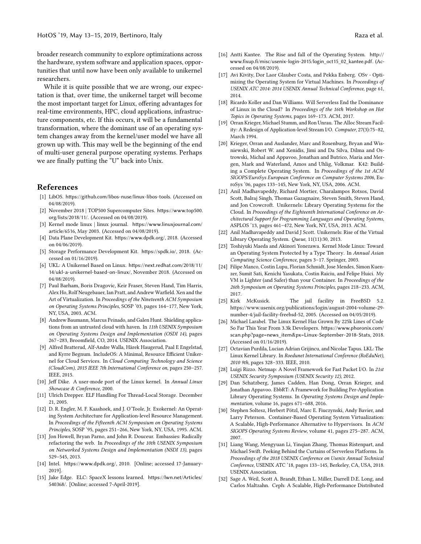broader research community to explore optimizations across the hardware, system software and application spaces, opportunities that until now have been only available to unikernel researchers.

While it is quite possible that we are wrong, our expectation is that, over time, the unikernel target will become the most important target for Linux, offering advantages for real-time environments, HPC, cloud applications, infrastructure components, etc. If this occurs, it will be a fundamental transformation, where the dominant use of an operating system changes away from the kernel/user model we have all grown up with. This may well be the beginning of the end of multi-user general purpose operating systems. Perhaps we are finally putting the "U" back into Unix.

## References

- <span id="page-5-26"></span>[1] LibOS. <https://github.com/libos-nuse/linux-libos-tools>. (Accessed on 04/08/2019).
- <span id="page-5-1"></span>[2] November 2018 | TOP500 Supercomputer Sites. [https://www.top500.](https://www.top500.org/lists/2018/11/) [org/lists/2018/11/](https://www.top500.org/lists/2018/11/). (Accessed on 04/08/2019).
- <span id="page-5-27"></span>[3] Kernel mode linux | linux journal. [https://www.linuxjournal.com/](https://www.linuxjournal.com/article/6516) [article/6516](https://www.linuxjournal.com/article/6516), May 2003. (Accessed on 04/08/2019).
- <span id="page-5-3"></span>[4] Data Plane Development Kit. <https://www.dpdk.org/>, 2018. (Accessed on 04/06/2019).
- <span id="page-5-4"></span>[5] Storage Performance Development Kit. <https://spdk.io/>, 2018. (Accessed on 01/16/2019).
- <span id="page-5-31"></span>[6] UKL: A Unikernel Based on Linux. [https://next.redhat.com/2018/11/](https://next.redhat.com/2018/11/14/ukl-a-unikernel-based-on-linux/) [14/ukl-a-unikernel-based-on-linux/](https://next.redhat.com/2018/11/14/ukl-a-unikernel-based-on-linux/), November 2018. (Accessed on 04/08/2019).
- <span id="page-5-15"></span>[7] Paul Barham, Boris Dragovic, Keir Fraser, Steven Hand, Tim Harris, Alex Ho, Rolf Neugebauer, Ian Pratt, and Andrew Warfield. Xen and the Art of Virtualization. In Proceedings of the Nineteenth ACM Symposium on Operating Systems Principles, SOSP '03, pages 164–177, New York, NY, USA, 2003. ACM.
- <span id="page-5-18"></span>[8] Andrew Baumann, Marcus Peinado, and Galen Hunt. Shielding applications from an untrusted cloud with haven. In 11th USENIX Symposium on Operating Systems Design and Implementation (OSDI 14), pages 267–283, Broomfield, CO, 2014. USENIX Association.
- <span id="page-5-22"></span>[9] Alfred Bratterud, Alf-Andre Walla, Hårek Haugerud, Paal E Engelstad, and Kyrre Begnum. IncludeOS: A Minimal, Resource Efficient Unikernel for Cloud Services. In Cloud Computing Technology and Science (CloudCom), 2015 IEEE 7th International Conference on, pages 250–257. IEEE, 2015.
- <span id="page-5-24"></span>[10] Jeff Dike. A user-mode port of the Linux kernel. In Annual Linux Showcase & Conference, 2000.
- <span id="page-5-29"></span>[11] Ulrich Drepper. ELF Handling For Thread-Local Storage. December 21, 2005.
- <span id="page-5-9"></span>[12] D. R. Engler, M. F. Kaashoek, and J. O'Toole, Jr. Exokernel: An Operating System Architecture for Application-level Resource Management. In Proceedings of the Fifteenth ACM Symposium on Operating Systems Principles, SOSP '95, pages 251–266, New York, NY, USA, 1995. ACM.
- <span id="page-5-19"></span>[13] Jon Howell, Bryan Parno, and John R. Douceur. Embassies: Radically refactoring the web. In Proceedings of the 10th USENIX Symposium on Networked Systems Design and Implementation (NSDI 13), pages 529–545, 2013.
- <span id="page-5-5"></span>[14] Intel. <https://www.dpdk.org/>, 2010. [Online; accessed 17-January-2019].
- <span id="page-5-0"></span>[15] Jake Edge. ELC: SpaceX lessons learned. [https://lwn.net/Articles/](https://lwn.net/Articles/540368/) [540368/](https://lwn.net/Articles/540368/). [Online; accessed 7-April-2019].
- <span id="page-5-23"></span>[16] Antti Kantee. The Rise and fall of the Operating System. [http://](http://www.fixup.fi/misc/usenix-login-2015/login_oct15_02_kantee.pdf) [www.fixup.fi/misc/usenix-login-2015/login\\_oct15\\_02\\_kantee.pdf](http://www.fixup.fi/misc/usenix-login-2015/login_oct15_02_kantee.pdf). (Accessed on 04/08/2019).
- <span id="page-5-21"></span>[17] Avi Kivity, Dor Laor Glauber Costa, and Pekka Enberg. OSv - Optimizing the Operating System for Virtual Machines. In Proceedings of USENIX ATC 2014: 2014 USENIX Annual Technical Conference, page 61, 2014.
- <span id="page-5-13"></span>[18] Ricardo Koller and Dan Williams. Will Serverless End the Dominance of Linux in the Cloud? In Proceedings of the 16th Workshop on Hot Topics in Operating Systems, pages 169–173. ACM, 2017.
- <span id="page-5-30"></span>[19] Orran Krieger, Michael Stumm, and Ron Unrau. The Alloc Stream Facility: A Redesign of Application-level Stream I/O. Computer, 27(3):75–82, March 1994.
- <span id="page-5-14"></span>[20] Krieger, Orran and Auslander, Marc and Rosenburg, Bryan and Wisniewski, Robert W. and Xenidis, Jimi and Da Silva, Dilma and Ostrowski, Michal and Appavoo, Jonathan and Butrico, Maria and Mergen, Mark and Waterland, Amos and Uhlig, Volkmar. K42: Building a Complete Operating System. In Proceedings of the 1st ACM SIGOPS/EuroSys European Conference on Computer Systems 2006, EuroSys '06, pages 133–145, New York, NY, USA, 2006. ACM.
- <span id="page-5-20"></span>[21] Anil Madhavapeddy, Richard Mortier, Charalampos Rotsos, David Scott, Balraj Singh, Thomas Gazagnaire, Steven Smith, Steven Hand, and Jon Crowcroft. Unikernels: Library Operating Systems for the Cloud. In Proceedings of the Eighteenth International Conference on Architectural Support for Programming Languages and Operating Systems, ASPLOS '13, pages 461–472, New York, NY, USA, 2013. ACM.
- <span id="page-5-10"></span>[22] Anil Madhavapeddy and David J Scott. Unikernels: Rise of the Virtual Library Operating System. Queue, 11(11):30, 2013.
- <span id="page-5-28"></span>[23] Toshiyuki Maeda and Akinori Yonezawa. Kernel Mode Linux: Toward an Operating System Protected by a Type Theory. In Annual Asian Computing Science Conference, pages 3–17. Springer, 2003.
- <span id="page-5-11"></span>[24] Filipe Manco, Costin Lupu, Florian Schmidt, Jose Mendes, Simon Kuenzer, Sumit Sati, Kenichi Yasukata, Costin Raiciu, and Felipe Huici. My VM is Lighter (and Safer) than your Container. In Proceedings of the 26th Symposium on Operating Systems Principles, pages 218–233. ACM, 2017.
- <span id="page-5-16"></span>[25] Kirk McKusick. The jail facility in FreeBSD 5.2. https://www.usenix.org/publications/login/august-2004-volume-29 number-4/jail-facility-freebsd-52, 2005. (Accessed on 04/05/2019).
- <span id="page-5-2"></span>[26] Michael Larabel. The Linux Kernel Has Grown By 225k Lines of Code So Far This Year From 3.3k Developers. [https://www.phoronix.com/](https://www.phoronix.com/scan.php?page=news_item&px=Linux-September-2018-Stats) [scan.php?page=news\\_item&px=Linux-September-2018-Stats](https://www.phoronix.com/scan.php?page=news_item&px=Linux-September-2018-Stats), 2018. (Accessed on 01/16/2019).
- <span id="page-5-25"></span>[27] Octavian Purdila, Lucian Adrian Grijincu, and Nicolae Tapus. LKL: The Linux Kernel Library. In Roedunet International Conference (RoEduNet), 2010 9th, pages 328–333. IEEE, 2010.
- <span id="page-5-6"></span>[28] Luigi Rizzo. Netmap: A Novel Framework for Fast Packet I/O. In 21st USENIX Security Symposium (USENIX Security 12), 2012.
- <span id="page-5-12"></span>[29] Dan Schatzberg, James Cadden, Han Dong, Orran Krieger, and Jonathan Appavoo. EbbRT: A Framework for Building Per-Application Library Operating Systems. In Operating Systems Design and Implementation, volume 16, pages 671–688, 2016.
- <span id="page-5-17"></span>[30] Stephen Soltesz, Herbert Pötzl, Marc E. Fiuczynski, Andy Bavier, and Larry Peterson. Container-Based Operating System Virtualization: A Scalable, High-Performance Alternative to Hypervisors. In ACM SIGOPS Operating Systems Review, volume 41, pages 275–287. ACM, 2007.
- <span id="page-5-8"></span>[31] Liang Wang, Mengyuan Li, Yinqian Zhang, Thomas Ristenpart, and Michael Swift. Peeking Behind the Curtains of Serverless Platforms. In Proceedings of the 2018 USENIX Conference on Usenix Annual Technical Conference, USENIX ATC '18, pages 133–145, Berkeley, CA, USA, 2018. USENIX Association.
- <span id="page-5-7"></span>[32] Sage A. Weil, Scott A. Brandt, Ethan L. Miller, Darrell D.E. Long, and Carlos Maltzahn. Ceph: A Scalable, High-Performance Distributed